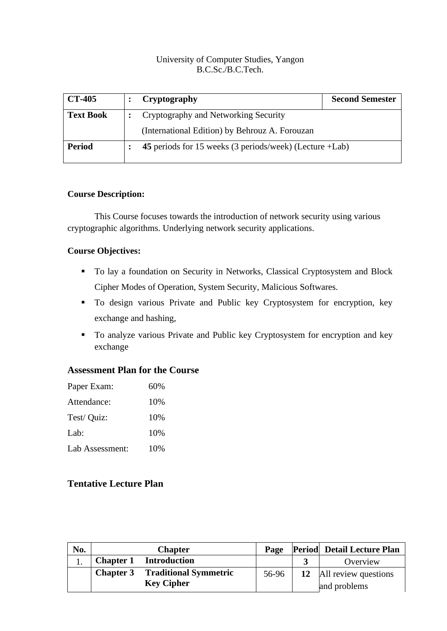## University of Computer Studies, Yangon B.C.Sc./B.C.Tech.

| <b>CT-405</b>    |                                                         | Cryptography                                   | <b>Second Semester</b> |
|------------------|---------------------------------------------------------|------------------------------------------------|------------------------|
| <b>Text Book</b> | Cryptography and Networking Security                    |                                                |                        |
|                  |                                                         | (International Edition) by Behrouz A. Forouzan |                        |
| <b>Period</b>    | 45 periods for 15 weeks (3 periods/week) (Lecture +Lab) |                                                |                        |

#### **Course Description:**

This Course focuses towards the introduction of network security using various cryptographic algorithms. Underlying network security applications.

#### **Course Objectives:**

- To lay a foundation on Security in Networks, Classical Cryptosystem and Block Cipher Modes of Operation, System Security, Malicious Softwares.
- To design various Private and Public key Cryptosystem for encryption, key exchange and hashing,
- To analyze various Private and Public key Cryptosystem for encryption and key exchange

## **Assessment Plan for the Course**

| Paper Exam:     | 60% |
|-----------------|-----|
| Attendance:     | 10% |
| Test/ Quiz:     | 10% |
| Lab:            | 10% |
| Lab Assessment: | 10% |

# **Tentative Lecture Plan**

| No. | <b>Chapter</b>   |                                                   | Page  | <b>Period</b> Detail Lecture Plan       |
|-----|------------------|---------------------------------------------------|-------|-----------------------------------------|
|     |                  | <b>Chapter 1</b> Introduction                     |       | Overview                                |
|     | <b>Chapter 3</b> | <b>Traditional Symmetric</b><br><b>Key Cipher</b> | 56-96 | 12 All review questions<br>and problems |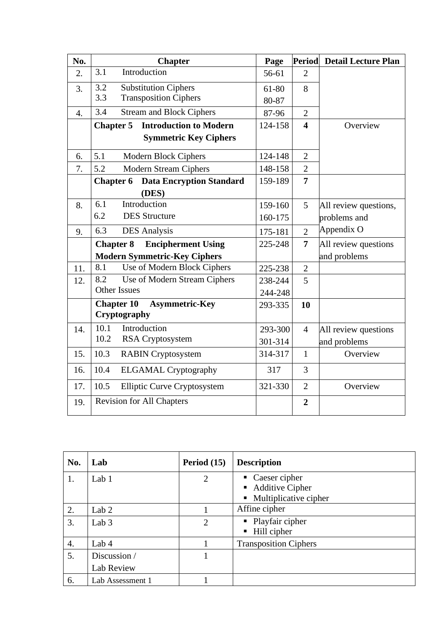| No. | <b>Chapter</b>                                             | Page               | <b>Period</b>           | <b>Detail Lecture Plan</b> |
|-----|------------------------------------------------------------|--------------------|-------------------------|----------------------------|
| 2.  | 3.1<br>Introduction                                        | 56-61              | $\overline{2}$          |                            |
| 3.  | 3.2<br><b>Substitution Ciphers</b>                         | 61-80              | 8                       |                            |
|     | 3.3<br><b>Transposition Ciphers</b>                        | 80-87              |                         |                            |
| 4.  | 3.4<br><b>Stream and Block Ciphers</b>                     | 87-96              | $\overline{2}$          |                            |
|     | <b>Introduction to Modern</b><br><b>Chapter 5</b>          | 124-158            | $\overline{\mathbf{4}}$ | Overview                   |
|     | <b>Symmetric Key Ciphers</b>                               |                    |                         |                            |
| 6.  | 5.1<br>Modern Block Ciphers                                | 124-148            | $\overline{2}$          |                            |
| 7.  | 5.2<br><b>Modern Stream Ciphers</b>                        | 148-158            | $\overline{2}$          |                            |
|     | Chapter 6<br><b>Data Encryption Standard</b>               | 159-189            | $\overline{7}$          |                            |
|     | (DES)                                                      |                    |                         |                            |
| 8.  | Introduction<br>6.1                                        | 159-160            | 5                       | All review questions,      |
|     | 6.2<br><b>DES</b> Structure                                | 160-175            |                         | problems and               |
| 9.  | 6.3<br><b>DES</b> Analysis                                 | 175-181            | $\overline{2}$          | Appendix O                 |
|     | <b>Encipherment Using</b><br><b>Chapter 8</b>              | 225-248            | $\overline{7}$          | All review questions       |
|     | <b>Modern Symmetric-Key Ciphers</b>                        |                    |                         | and problems               |
| 11. | Use of Modern Block Ciphers<br>8.1                         | 225-238            | $\overline{2}$          |                            |
| 12. | Use of Modern Stream Ciphers<br>8.2                        | 238-244            | 5                       |                            |
|     | <b>Other Issues</b>                                        | 244-248            |                         |                            |
|     | <b>Chapter 10</b><br><b>Asymmetric-Key</b><br>Cryptography |                    | 10                      |                            |
|     | Introduction<br>10.1                                       |                    |                         |                            |
| 14. | 10.2<br>RSA Cryptosystem                                   | 293-300<br>301-314 | $\overline{4}$          | All review questions       |
| 15. | 10.3                                                       | 314-317            | $\mathbf{1}$            | and problems<br>Overview   |
|     | <b>RABIN</b> Cryptosystem                                  |                    |                         |                            |
| 16. | 10.4<br><b>ELGAMAL Cryptography</b>                        | 317                | $\overline{3}$          |                            |
| 17. | 10.5<br><b>Elliptic Curve Cryptosystem</b>                 | 321-330            | $\overline{2}$          | Overview                   |
| 19. | <b>Revision for All Chapters</b>                           |                    | $\overline{2}$          |                            |

| No. | Lab                        | Period $(15)$  | <b>Description</b>                                                                        |
|-----|----------------------------|----------------|-------------------------------------------------------------------------------------------|
| 1.  | Lab 1                      | $\overline{2}$ | $\blacksquare$ Caeser cipher<br>• Additive Cipher<br>$\blacksquare$ Multiplicative cipher |
| 2.  | Lab <sub>2</sub>           |                | Affine cipher                                                                             |
| 3.  | Lab $3$                    | $\overline{2}$ | $\blacksquare$ Playfair cipher<br>Hill cipher<br>$\blacksquare$                           |
| 4.  | Lab 4                      |                | <b>Transposition Ciphers</b>                                                              |
| 5.  | Discussion /<br>Lab Review |                |                                                                                           |
| 6.  | Lab Assessment 1           |                |                                                                                           |